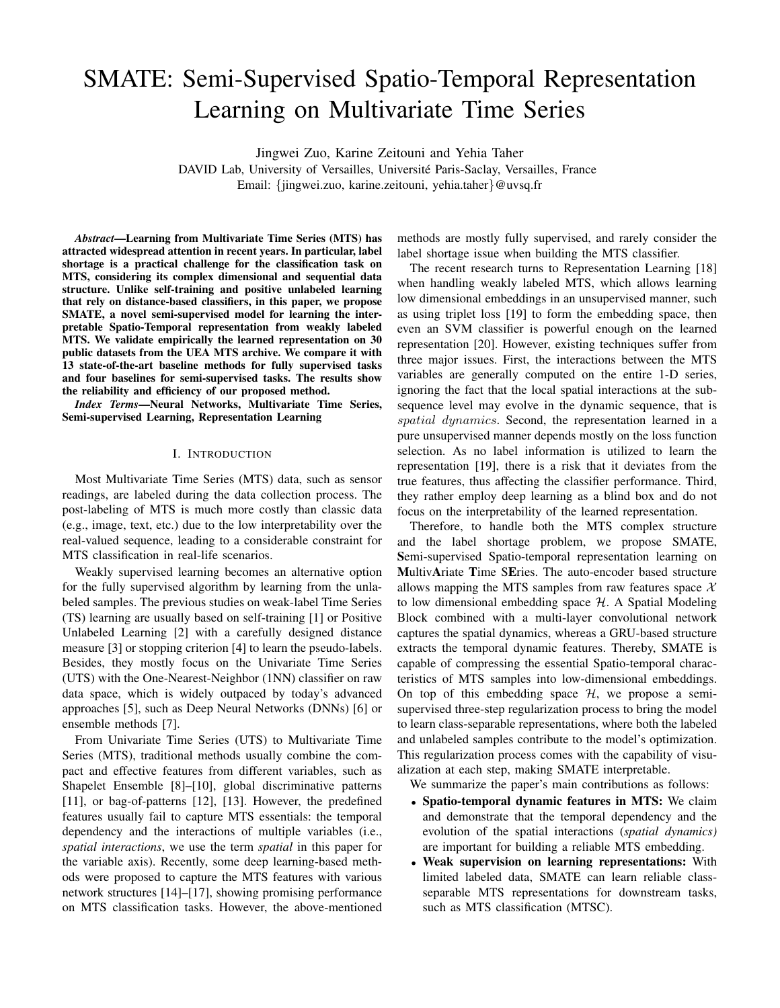# SMATE: Semi-Supervised Spatio-Temporal Representation Learning on Multivariate Time Series

Jingwei Zuo, Karine Zeitouni and Yehia Taher

DAVID Lab, University of Versailles, Universite Paris-Saclay, Versailles, France ´ Email: {jingwei.zuo, karine.zeitouni, yehia.taher}@uvsq.fr

*Abstract*—Learning from Multivariate Time Series (MTS) has attracted widespread attention in recent years. In particular, label shortage is a practical challenge for the classification task on MTS, considering its complex dimensional and sequential data structure. Unlike self-training and positive unlabeled learning that rely on distance-based classifiers, in this paper, we propose SMATE, a novel semi-supervised model for learning the interpretable Spatio-Temporal representation from weakly labeled MTS. We validate empirically the learned representation on 30 public datasets from the UEA MTS archive. We compare it with 13 state-of-the-art baseline methods for fully supervised tasks and four baselines for semi-supervised tasks. The results show the reliability and efficiency of our proposed method.

*Index Terms*—Neural Networks, Multivariate Time Series, Semi-supervised Learning, Representation Learning

## I. INTRODUCTION

Most Multivariate Time Series (MTS) data, such as sensor readings, are labeled during the data collection process. The post-labeling of MTS is much more costly than classic data (e.g., image, text, etc.) due to the low interpretability over the real-valued sequence, leading to a considerable constraint for MTS classification in real-life scenarios.

Weakly supervised learning becomes an alternative option for the fully supervised algorithm by learning from the unlabeled samples. The previous studies on weak-label Time Series (TS) learning are usually based on self-training [1] or Positive Unlabeled Learning [2] with a carefully designed distance measure [3] or stopping criterion [4] to learn the pseudo-labels. Besides, they mostly focus on the Univariate Time Series (UTS) with the One-Nearest-Neighbor (1NN) classifier on raw data space, which is widely outpaced by today's advanced approaches [5], such as Deep Neural Networks (DNNs) [6] or ensemble methods [7].

From Univariate Time Series (UTS) to Multivariate Time Series (MTS), traditional methods usually combine the compact and effective features from different variables, such as Shapelet Ensemble [8]–[10], global discriminative patterns [11], or bag-of-patterns [12], [13]. However, the predefined features usually fail to capture MTS essentials: the temporal dependency and the interactions of multiple variables (i.e., *spatial interactions*, we use the term *spatial* in this paper for the variable axis). Recently, some deep learning-based methods were proposed to capture the MTS features with various network structures [14]–[17], showing promising performance on MTS classification tasks. However, the above-mentioned methods are mostly fully supervised, and rarely consider the label shortage issue when building the MTS classifier.

The recent research turns to Representation Learning [18] when handling weakly labeled MTS, which allows learning low dimensional embeddings in an unsupervised manner, such as using triplet loss [19] to form the embedding space, then even an SVM classifier is powerful enough on the learned representation [20]. However, existing techniques suffer from three major issues. First, the interactions between the MTS variables are generally computed on the entire 1-D series, ignoring the fact that the local spatial interactions at the subsequence level may evolve in the dynamic sequence, that is spatial dynamics. Second, the representation learned in a pure unsupervised manner depends mostly on the loss function selection. As no label information is utilized to learn the representation [19], there is a risk that it deviates from the true features, thus affecting the classifier performance. Third, they rather employ deep learning as a blind box and do not focus on the interpretability of the learned representation.

Therefore, to handle both the MTS complex structure and the label shortage problem, we propose SMATE, Semi-supervised Spatio-temporal representation learning on MultivAriate Time SEries. The auto-encoder based structure allows mapping the MTS samples from raw features space  $X$ to low dimensional embedding space  $H$ . A Spatial Modeling Block combined with a multi-layer convolutional network captures the spatial dynamics, whereas a GRU-based structure extracts the temporal dynamic features. Thereby, SMATE is capable of compressing the essential Spatio-temporal characteristics of MTS samples into low-dimensional embeddings. On top of this embedding space  $H$ , we propose a semisupervised three-step regularization process to bring the model to learn class-separable representations, where both the labeled and unlabeled samples contribute to the model's optimization. This regularization process comes with the capability of visualization at each step, making SMATE interpretable.

We summarize the paper's main contributions as follows:

- Spatio-temporal dynamic features in MTS: We claim and demonstrate that the temporal dependency and the evolution of the spatial interactions (*spatial dynamics)* are important for building a reliable MTS embedding.
- Weak supervision on learning representations: With limited labeled data, SMATE can learn reliable classseparable MTS representations for downstream tasks, such as MTS classification (MTSC).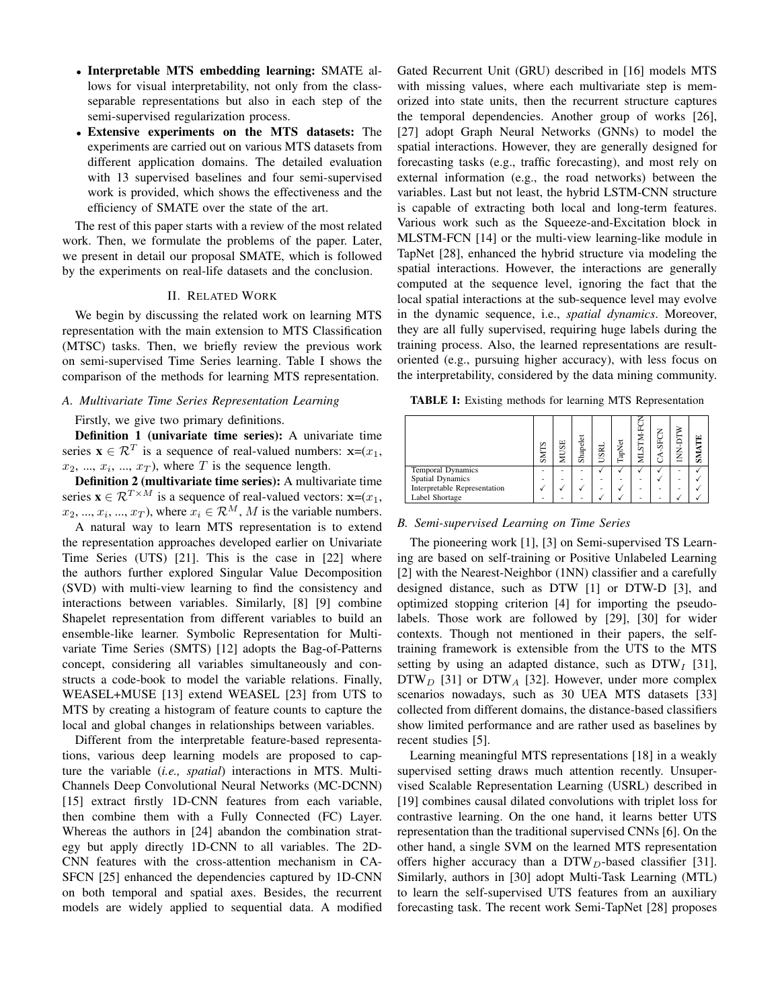- Interpretable MTS embedding learning: SMATE allows for visual interpretability, not only from the classseparable representations but also in each step of the semi-supervised regularization process.
- Extensive experiments on the MTS datasets: The experiments are carried out on various MTS datasets from different application domains. The detailed evaluation with 13 supervised baselines and four semi-supervised work is provided, which shows the effectiveness and the efficiency of SMATE over the state of the art.

The rest of this paper starts with a review of the most related work. Then, we formulate the problems of the paper. Later, we present in detail our proposal SMATE, which is followed by the experiments on real-life datasets and the conclusion.

#### II. RELATED WORK

We begin by discussing the related work on learning MTS representation with the main extension to MTS Classification (MTSC) tasks. Then, we briefly review the previous work on semi-supervised Time Series learning. Table I shows the comparison of the methods for learning MTS representation.

## *A. Multivariate Time Series Representation Learning*

#### Firstly, we give two primary definitions.

Definition 1 (univariate time series): A univariate time series  $\mathbf{x} \in \mathcal{R}^T$  is a sequence of real-valued numbers:  $\mathbf{x}=(x_1,$  $x_2, ..., x_i, ..., x_T$ , where T is the sequence length.

Definition 2 (multivariate time series): A multivariate time series  $\mathbf{x} \in \mathcal{R}^{T \times M}$  is a sequence of real-valued vectors:  $\mathbf{x} = (x_1, x_2, \dots, x_n)$  $x_2, ..., x_i, ..., x_T$ , where  $x_i \in \mathcal{R}^M$ , M is the variable numbers.

A natural way to learn MTS representation is to extend the representation approaches developed earlier on Univariate Time Series (UTS) [21]. This is the case in [22] where the authors further explored Singular Value Decomposition (SVD) with multi-view learning to find the consistency and interactions between variables. Similarly, [8] [9] combine Shapelet representation from different variables to build an ensemble-like learner. Symbolic Representation for Multivariate Time Series (SMTS) [12] adopts the Bag-of-Patterns concept, considering all variables simultaneously and constructs a code-book to model the variable relations. Finally, WEASEL+MUSE [13] extend WEASEL [23] from UTS to MTS by creating a histogram of feature counts to capture the local and global changes in relationships between variables.

Different from the interpretable feature-based representations, various deep learning models are proposed to capture the variable (*i.e., spatial*) interactions in MTS. Multi-Channels Deep Convolutional Neural Networks (MC-DCNN) [15] extract firstly 1D-CNN features from each variable, then combine them with a Fully Connected (FC) Layer. Whereas the authors in [24] abandon the combination strategy but apply directly 1D-CNN to all variables. The 2D-CNN features with the cross-attention mechanism in CA-SFCN [25] enhanced the dependencies captured by 1D-CNN on both temporal and spatial axes. Besides, the recurrent models are widely applied to sequential data. A modified

Gated Recurrent Unit (GRU) described in [16] models MTS with missing values, where each multivariate step is memorized into state units, then the recurrent structure captures the temporal dependencies. Another group of works [26], [27] adopt Graph Neural Networks (GNNs) to model the spatial interactions. However, they are generally designed for forecasting tasks (e.g., traffic forecasting), and most rely on external information (e.g., the road networks) between the variables. Last but not least, the hybrid LSTM-CNN structure is capable of extracting both local and long-term features. Various work such as the Squeeze-and-Excitation block in MLSTM-FCN [14] or the multi-view learning-like module in TapNet [28], enhanced the hybrid structure via modeling the spatial interactions. However, the interactions are generally computed at the sequence level, ignoring the fact that the local spatial interactions at the sub-sequence level may evolve in the dynamic sequence, i.e., *spatial dynamics*. Moreover, they are all fully supervised, requiring huge labels during the training process. Also, the learned representations are resultoriented (e.g., pursuing higher accuracy), with less focus on the interpretability, considered by the data mining community.

TABLE I: Existing methods for learning MTS Representation

|                              | S<br>ŠИ | ш<br>m<br>Σ | Shapelet | USRI | ه<br>्<br>वि | É<br>Σ | 5 | ⇔<br>← | Ĕ<br>š |
|------------------------------|---------|-------------|----------|------|--------------|--------|---|--------|--------|
| Temporal Dynamics            |         |             |          |      |              |        |   | ۰      |        |
| <b>Spatial Dynamics</b>      |         |             |          | ۰    | ۰            | ۰      |   | ۰      |        |
| Interpretable Representation |         |             |          | ۰    |              | ۰      |   | ۰      |        |
| Label Shortage               |         |             |          |      |              |        |   |        |        |

#### *B. Semi-supervised Learning on Time Series*

The pioneering work [1], [3] on Semi-supervised TS Learning are based on self-training or Positive Unlabeled Learning [2] with the Nearest-Neighbor (1NN) classifier and a carefully designed distance, such as DTW [1] or DTW-D [3], and optimized stopping criterion [4] for importing the pseudolabels. Those work are followed by [29], [30] for wider contexts. Though not mentioned in their papers, the selftraining framework is extensible from the UTS to the MTS setting by using an adapted distance, such as  $DTW<sub>I</sub>$  [31],  $DTW<sub>D</sub>$  [31] or  $DTW<sub>A</sub>$  [32]. However, under more complex scenarios nowadays, such as 30 UEA MTS datasets [33] collected from different domains, the distance-based classifiers show limited performance and are rather used as baselines by recent studies [5].

Learning meaningful MTS representations [18] in a weakly supervised setting draws much attention recently. Unsupervised Scalable Representation Learning (USRL) described in [19] combines causal dilated convolutions with triplet loss for contrastive learning. On the one hand, it learns better UTS representation than the traditional supervised CNNs [6]. On the other hand, a single SVM on the learned MTS representation offers higher accuracy than a  $DTW_D$ -based classifier [31]. Similarly, authors in [30] adopt Multi-Task Learning (MTL) to learn the self-supervised UTS features from an auxiliary forecasting task. The recent work Semi-TapNet [28] proposes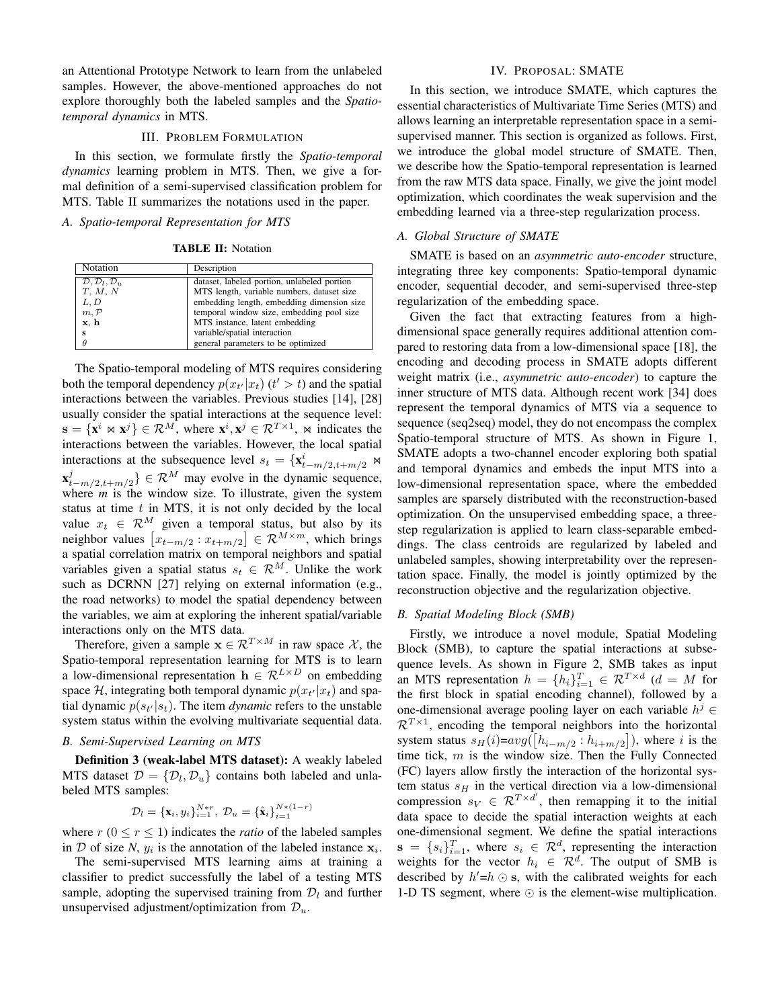an Attentional Prototype Network to learn from the unlabeled samples. However, the above-mentioned approaches do not explore thoroughly both the labeled samples and the *Spatiotemporal dynamics* in MTS.

#### III. PROBLEM FORMULATION

In this section, we formulate firstly the *Spatio-temporal dynamics* learning problem in MTS. Then, we give a formal definition of a semi-supervised classification problem for MTS. Table II summarizes the notations used in the paper.

#### *A. Spatio-temporal Representation for MTS*

TABLE II: Notation

| Notation                                    | Description                                 |
|---------------------------------------------|---------------------------------------------|
| $\mathcal{D}, \mathcal{D}_l, \mathcal{D}_u$ | dataset, labeled portion, unlabeled portion |
| T, M, N                                     | MTS length, variable numbers, dataset size  |
| L, D                                        | embedding length, embedding dimension size  |
| m, P                                        | temporal window size, embedding pool size   |
| x, h                                        | MTS instance, latent embedding              |
| s                                           | variable/spatial interaction                |
| $\theta$                                    | general parameters to be optimized          |

The Spatio-temporal modeling of MTS requires considering both the temporal dependency  $p(x_{t'}|x_t)$  ( $t' > t$ ) and the spatial interactions between the variables. Previous studies [14], [28] usually consider the spatial interactions at the sequence level:  $\mathbf{s} = {\mathbf{x}^i \Join \mathbf{x}^j} \in \mathcal{R}^M$ , where  $\mathbf{x}^i, \mathbf{x}^j \in \mathcal{R}^{T \times 1}$ ,  $\Join$  indicates the interactions between the variables. However, the local spatial interactions at the subsequence level  $s_t = \{x_{t-m/2,t+m/2}^i \Join a_t\}$  $\mathbf{x}_t^j$  $\{f_{t-m/2,t+m/2}\}\in \mathcal{R}^M$  may evolve in the dynamic sequence, where  $m$  is the window size. To illustrate, given the system status at time  $t$  in MTS, it is not only decided by the local value  $x_t \in \mathcal{R}^M$  given a temporal status, but also by its neighbor values  $[x_{t-m/2} : x_{t+m/2}] \in \mathcal{R}^{M \times m}$ , which brings a spatial correlation matrix on temporal neighbors and spatial variables given a spatial status  $s_t \in \mathcal{R}^M$ . Unlike the work such as DCRNN [27] relying on external information (e.g., the road networks) to model the spatial dependency between the variables, we aim at exploring the inherent spatial/variable interactions only on the MTS data.

Therefore, given a sample  $\mathbf{x} \in \mathcal{R}^{T \times M}$  in raw space X, the Spatio-temporal representation learning for MTS is to learn a low-dimensional representation  $h \in \mathcal{R}^{L \times D}$  on embedding space H, integrating both temporal dynamic  $p(x_{t'}|x_t)$  and spatial dynamic  $p(s_{t'}|s_t)$ . The item *dynamic* refers to the unstable system status within the evolving multivariate sequential data.

#### *B. Semi-Supervised Learning on MTS*

Definition 3 (weak-label MTS dataset): A weakly labeled MTS dataset  $\mathcal{D} = {\mathcal{D}_l, \mathcal{D}_u}$  contains both labeled and unlabeled MTS samples:

$$
\mathcal{D}_l = {\mathbf{x}_i, y_i}_{i=1}^{N*r}, \mathcal{D}_u = {\hat{\mathbf{x}}_i}_{i=1}^{N*(1-r)}
$$

where  $r (0 \le r \le 1)$  indicates the *ratio* of the labeled samples in  $D$  of size N,  $y_i$  is the annotation of the labeled instance  $x_i$ .

The semi-supervised MTS learning aims at training a classifier to predict successfully the label of a testing MTS sample, adopting the supervised training from  $\mathcal{D}_l$  and further unsupervised adjustment/optimization from  $\mathcal{D}_u$ .

## IV. PROPOSAL: SMATE

In this section, we introduce SMATE, which captures the essential characteristics of Multivariate Time Series (MTS) and allows learning an interpretable representation space in a semisupervised manner. This section is organized as follows. First, we introduce the global model structure of SMATE. Then, we describe how the Spatio-temporal representation is learned from the raw MTS data space. Finally, we give the joint model optimization, which coordinates the weak supervision and the embedding learned via a three-step regularization process.

## *A. Global Structure of SMATE*

SMATE is based on an *asymmetric auto-encoder* structure, integrating three key components: Spatio-temporal dynamic encoder, sequential decoder, and semi-supervised three-step regularization of the embedding space.

Given the fact that extracting features from a highdimensional space generally requires additional attention compared to restoring data from a low-dimensional space [18], the encoding and decoding process in SMATE adopts different weight matrix (i.e., *asymmetric auto-encoder*) to capture the inner structure of MTS data. Although recent work [34] does represent the temporal dynamics of MTS via a sequence to sequence (seq2seq) model, they do not encompass the complex Spatio-temporal structure of MTS. As shown in Figure 1, SMATE adopts a two-channel encoder exploring both spatial and temporal dynamics and embeds the input MTS into a low-dimensional representation space, where the embedded samples are sparsely distributed with the reconstruction-based optimization. On the unsupervised embedding space, a threestep regularization is applied to learn class-separable embeddings. The class centroids are regularized by labeled and unlabeled samples, showing interpretability over the representation space. Finally, the model is jointly optimized by the reconstruction objective and the regularization objective.

## *B. Spatial Modeling Block (SMB)*

Firstly, we introduce a novel module, Spatial Modeling Block (SMB), to capture the spatial interactions at subsequence levels. As shown in Figure 2, SMB takes as input an MTS representation  $h = \{h_i\}_{i=1}^T \in \mathcal{R}^{T \times d}$  ( $d = M$  for the first block in spatial encoding channel), followed by a one-dimensional average pooling layer on each variable  $h^{j} \in$  $\mathcal{R}^{T\times 1}$ , encoding the temporal neighbors into the horizontal system status  $s_H(i) = avg([h_{i-m/2}:h_{i+m/2}])$ , where i is the time tick,  $m$  is the window size. Then the Fully Connected (FC) layers allow firstly the interaction of the horizontal system status  $s_H$  in the vertical direction via a low-dimensional compression  $s_V \in \mathcal{R}^{T \times d'}$ , then remapping it to the initial data space to decide the spatial interaction weights at each one-dimensional segment. We define the spatial interactions  $\mathbf{s} = \{s_i\}_{i=1}^T$ , where  $s_i \in \mathcal{R}^d$ , representing the interaction weights for the vector  $h_i \in \mathcal{R}^d$ . The output of SMB is described by  $h' = h \odot s$ , with the calibrated weights for each 1-D TS segment, where  $\odot$  is the element-wise multiplication.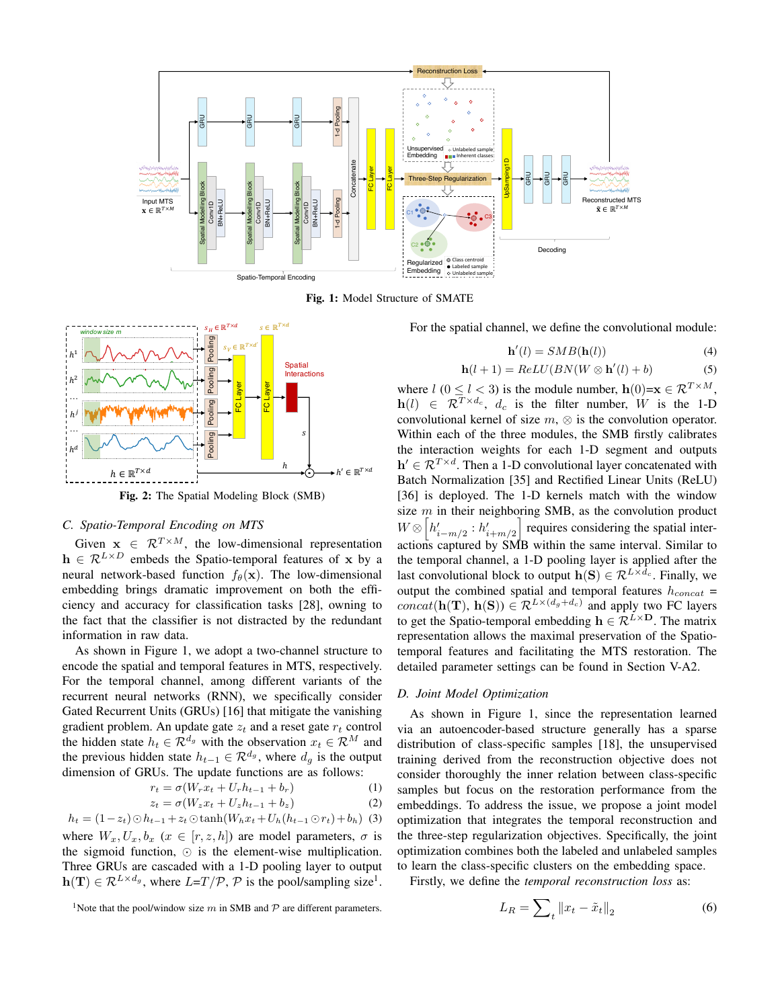

Fig. 1: Model Structure of SMATE



Fig. 2: The Spatial Modeling Block (SMB)

## *C. Spatio-Temporal Encoding on MTS*

Given  $\mathbf{x} \in \mathcal{R}^{T \times M}$ , the low-dimensional representation  $h \in \mathcal{R}^{L \times D}$  embeds the Spatio-temporal features of x by a neural network-based function  $f_{\theta}(\mathbf{x})$ . The low-dimensional embedding brings dramatic improvement on both the efficiency and accuracy for classification tasks [28], owning to the fact that the classifier is not distracted by the redundant information in raw data.

As shown in Figure 1, we adopt a two-channel structure to encode the spatial and temporal features in MTS, respectively. For the temporal channel, among different variants of the recurrent neural networks (RNN), we specifically consider Gated Recurrent Units (GRUs) [16] that mitigate the vanishing gradient problem. An update gate  $z_t$  and a reset gate  $r_t$  control the hidden state  $h_t \in \mathcal{R}^{d_g}$  with the observation  $x_t \in \mathcal{R}^M$  and the previous hidden state  $h_{t-1} \in \mathcal{R}^{d_g}$ , where  $d_g$  is the output dimension of GRUs. The update functions are as follows:

$$
r_t = \sigma(W_r x_t + U_r h_{t-1} + b_r)
$$
\n<sup>(1)</sup>

$$
z_t = \sigma(W_z x_t + U_z h_{t-1} + b_z)
$$
 (2)

$$
h_t = (1 - z_t) \odot h_{t-1} + z_t \odot \tanh(W_h x_t + U_h (h_{t-1} \odot r_t) + b_h)
$$
 (3)

where  $W_x, U_x, b_x \ (x \in [r, z, h])$  are model parameters,  $\sigma$  is the sigmoid function,  $\odot$  is the element-wise multiplication. Three GRUs are cascaded with a 1-D pooling layer to output  $h(\mathbf{T}) \in \mathcal{R}^{L \times d_g}$ , where  $L=T/\mathcal{P}$ ,  $\mathcal{P}$  is the pool/sampling size<sup>1</sup>. For the spatial channel, we define the convolutional module:

$$
\mathbf{h}'(l) = SMB(\mathbf{h}(l))\tag{4}
$$

$$
\mathbf{h}(l+1) = ReLU(BN(W \otimes \mathbf{h}'(l) + b) \tag{5}
$$

where  $l$  ( $0 \le l \le 3$ ) is the module number,  $h(0)=x \in \mathcal{R}^{T \times M}$ ,  $h(l) \in \mathcal{R}^{T \times d_c}$ ,  $d_c$  is the filter number, W is the 1-D convolutional kernel of size  $m$ ,  $\otimes$  is the convolution operator. Within each of the three modules, the SMB firstly calibrates the interaction weights for each 1-D segment and outputs  $h' \in \mathcal{R}^{T \times d}$ . Then a 1-D convolutional layer concatenated with Batch Normalization [35] and Rectified Linear Units (ReLU) [36] is deployed. The 1-D kernels match with the window size  $m$  in their neighboring SMB, as the convolution product  $W \otimes \left[ h'_{i-m/2} : h'_{i+m/2} \right]$  requires considering the spatial interactions captured by SMB within the same interval. Similar to the temporal channel, a 1-D pooling layer is applied after the last convolutional block to output  $h(S) \in \mathcal{R}^{L \times d_c}$ . Finally, we output the combined spatial and temporal features  $h_{concat}$  =  $concat(\mathbf{h}(\mathbf{T}), \mathbf{h}(\mathbf{S})) \in \mathcal{R}^{L \times (d_g + d_c)}$  and apply two FC layers to get the Spatio-temporal embedding  $h \in \mathcal{R}^{L \times D}$ . The matrix representation allows the maximal preservation of the Spatiotemporal features and facilitating the MTS restoration. The detailed parameter settings can be found in Section V-A2.

## *D. Joint Model Optimization*

As shown in Figure 1, since the representation learned via an autoencoder-based structure generally has a sparse distribution of class-specific samples [18], the unsupervised training derived from the reconstruction objective does not consider thoroughly the inner relation between class-specific samples but focus on the restoration performance from the embeddings. To address the issue, we propose a joint model optimization that integrates the temporal reconstruction and the three-step regularization objectives. Specifically, the joint optimization combines both the labeled and unlabeled samples to learn the class-specific clusters on the embedding space.

Firstly, we define the *temporal reconstruction loss* as:

<sup>1</sup>Note that the pool/window size 
$$
m
$$
 in SMB and  $P$  are different parameters.

$$
L_R = \sum_{t} ||x_t - \tilde{x}_t||_2 \tag{6}
$$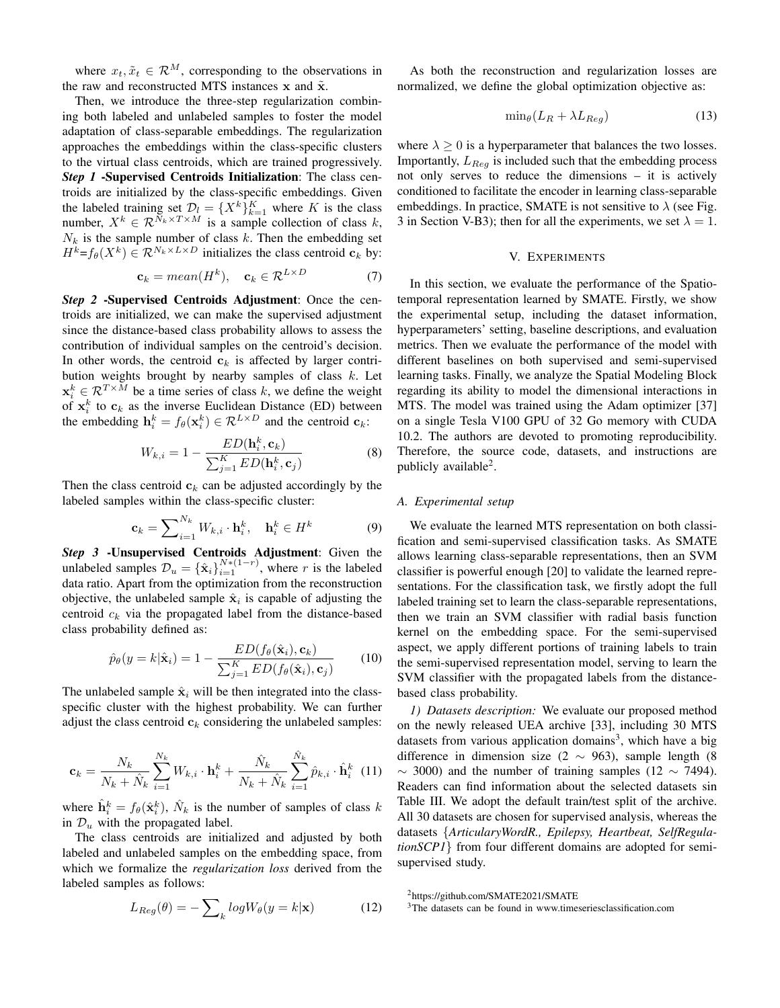where  $x_t, \tilde{x}_t \in \mathcal{R}^M$ , corresponding to the observations in the raw and reconstructed MTS instances  $x$  and  $\tilde{x}$ .

Then, we introduce the three-step regularization combining both labeled and unlabeled samples to foster the model adaptation of class-separable embeddings. The regularization approaches the embeddings within the class-specific clusters to the virtual class centroids, which are trained progressively. *Step 1* -Supervised Centroids Initialization: The class centroids are initialized by the class-specific embeddings. Given the labeled training set  $\mathcal{D}_l = \{X^k\}_{k=1}^K$  where K is the class number,  $X^k \in \mathcal{R}^{N_k \times T \times M}$  is a sample collection of class k,  $N_k$  is the sample number of class k. Then the embedding set  $H^k = f_\theta(X^k) \in \mathcal{R}^{N_k \times L \times D}$  initializes the class centroid  $c_k$  by:

$$
\mathbf{c}_k = mean(H^k), \quad \mathbf{c}_k \in \mathcal{R}^{L \times D} \tag{7}
$$

*Step 2* -Supervised Centroids Adjustment: Once the centroids are initialized, we can make the supervised adjustment since the distance-based class probability allows to assess the contribution of individual samples on the centroid's decision. In other words, the centroid  $c_k$  is affected by larger contribution weights brought by nearby samples of class  $k$ . Let  $x_i^k \in \mathcal{R}^{T \times M}$  be a time series of class k, we define the weight of  $x_i^k$  to  $c_k$  as the inverse Euclidean Distance (ED) between the embedding  $\mathbf{h}_i^k = f_\theta(\mathbf{x}_i^k) \in \mathcal{R}^{L \times D}$  and the centroid  $\mathbf{c}_k$ :

$$
W_{k,i} = 1 - \frac{ED(\mathbf{h}_i^k, \mathbf{c}_k)}{\sum_{j=1}^K ED(\mathbf{h}_i^k, \mathbf{c}_j)}
$$
(8)

Then the class centroid  $c_k$  can be adjusted accordingly by the labeled samples within the class-specific cluster:

$$
\mathbf{c}_k = \sum_{i=1}^{N_k} W_{k,i} \cdot \mathbf{h}_i^k, \quad \mathbf{h}_i^k \in H^k \tag{9}
$$

*Step 3* -Unsupervised Centroids Adjustment: Given the unlabeled samples  $\mathcal{D}_u = {\{\hat{\mathbf{x}}_i\}}_{i=1}^{N*(1-r)}$ , where r is the labeled data ratio. Apart from the optimization from the reconstruction objective, the unlabeled sample  $\hat{\mathbf{x}}_i$  is capable of adjusting the centroid  $c_k$  via the propagated label from the distance-based class probability defined as:

$$
\hat{p}_{\theta}(y=k|\hat{\mathbf{x}}_i) = 1 - \frac{ED(f_{\theta}(\hat{\mathbf{x}}_i), \mathbf{c}_k)}{\sum_{j=1}^K ED(f_{\theta}(\hat{\mathbf{x}}_i), \mathbf{c}_j)}
$$
(10)

The unlabeled sample  $\hat{\mathbf{x}}_i$  will be then integrated into the classspecific cluster with the highest probability. We can further adjust the class centroid  $c_k$  considering the unlabeled samples:

$$
\mathbf{c}_{k} = \frac{N_{k}}{N_{k} + \hat{N}_{k}} \sum_{i=1}^{N_{k}} W_{k,i} \cdot \mathbf{h}_{i}^{k} + \frac{\hat{N}_{k}}{N_{k} + \hat{N}_{k}} \sum_{i=1}^{\hat{N}_{k}} \hat{p}_{k,i} \cdot \hat{\mathbf{h}}_{i}^{k} \quad (11)
$$

where  $\hat{\mathbf{h}}_i^k = f_\theta(\hat{\mathbf{x}}_i^k)$ ,  $\hat{N}_k$  is the number of samples of class k in  $\mathcal{D}_u$  with the propagated label.

The class centroids are initialized and adjusted by both labeled and unlabeled samples on the embedding space, from which we formalize the *regularization loss* derived from the labeled samples as follows:

$$
L_{Reg}(\theta) = -\sum_{k} log W_{\theta}(y = k|\mathbf{x})
$$
 (12)

As both the reconstruction and regularization losses are normalized, we define the global optimization objective as:

$$
\min_{\theta} (L_R + \lambda L_{Reg}) \tag{13}
$$

where  $\lambda \geq 0$  is a hyperparameter that balances the two losses. Importantly,  $L_{Reg}$  is included such that the embedding process not only serves to reduce the dimensions – it is actively conditioned to facilitate the encoder in learning class-separable embeddings. In practice, SMATE is not sensitive to  $\lambda$  (see Fig. 3 in Section V-B3); then for all the experiments, we set  $\lambda = 1$ .

#### V. EXPERIMENTS

In this section, we evaluate the performance of the Spatiotemporal representation learned by SMATE. Firstly, we show the experimental setup, including the dataset information, hyperparameters' setting, baseline descriptions, and evaluation metrics. Then we evaluate the performance of the model with different baselines on both supervised and semi-supervised learning tasks. Finally, we analyze the Spatial Modeling Block regarding its ability to model the dimensional interactions in MTS. The model was trained using the Adam optimizer [37] on a single Tesla V100 GPU of 32 Go memory with CUDA 10.2. The authors are devoted to promoting reproducibility. Therefore, the source code, datasets, and instructions are publicly available<sup>2</sup>.

## *A. Experimental setup*

We evaluate the learned MTS representation on both classification and semi-supervised classification tasks. As SMATE allows learning class-separable representations, then an SVM classifier is powerful enough [20] to validate the learned representations. For the classification task, we firstly adopt the full labeled training set to learn the class-separable representations, then we train an SVM classifier with radial basis function kernel on the embedding space. For the semi-supervised aspect, we apply different portions of training labels to train the semi-supervised representation model, serving to learn the SVM classifier with the propagated labels from the distancebased class probability.

*1) Datasets description:* We evaluate our proposed method on the newly released UEA archive [33], including 30 MTS datasets from various application domains<sup>3</sup>, which have a big difference in dimension size (2  $\sim$  963), sample length (8  $\sim$  3000) and the number of training samples (12  $\sim$  7494). Readers can find information about the selected datasets sin Table III. We adopt the default train/test split of the archive. All 30 datasets are chosen for supervised analysis, whereas the datasets {*ArticularyWordR., Epilepsy, Heartbeat, SelfRegulationSCP1*} from four different domains are adopted for semisupervised study.

<sup>2</sup>https://github.com/SMATE2021/SMATE

<sup>&</sup>lt;sup>3</sup>The datasets can be found in www.timeseriesclassification.com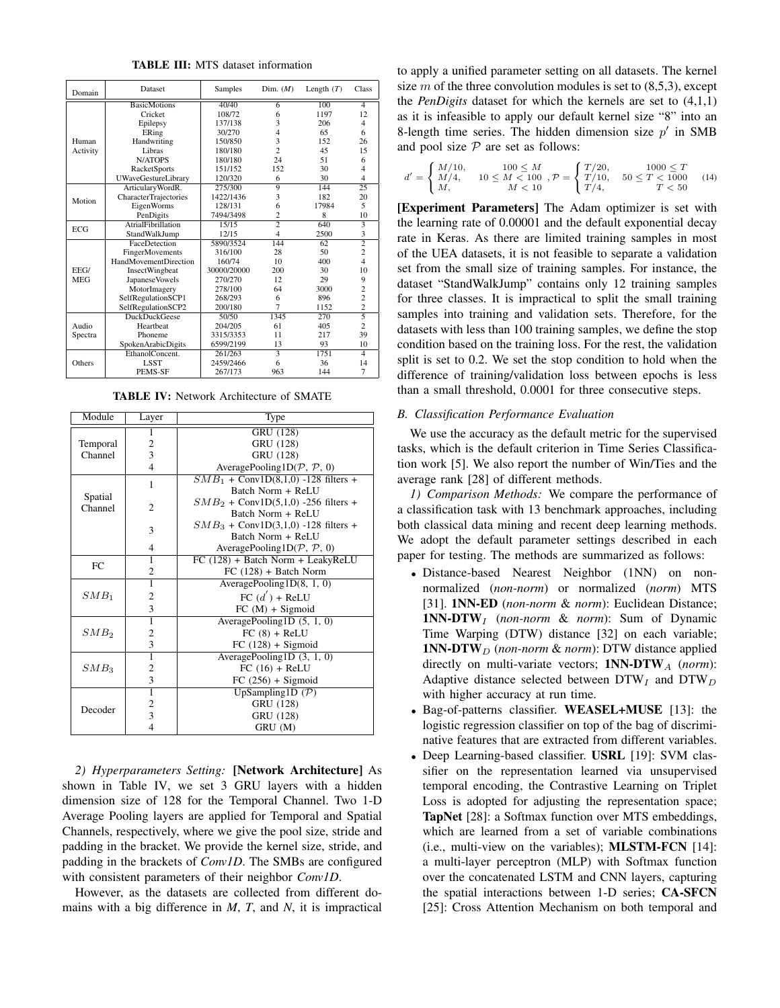TABLE III: MTS dataset information

| Domain           | Dataset                      | Samples     | Dim. $(M)$     | Length $(T)$ | Class                   |
|------------------|------------------------------|-------------|----------------|--------------|-------------------------|
|                  | <b>BasicMotions</b>          | 40/40       | 6              | 100          | 4                       |
|                  | Cricket                      | 108/72      | 6              | 1197         | 12                      |
|                  | Epilepsy                     | 137/138     | 3              | 206          | 4                       |
|                  | ERing                        | 30/270      | $\overline{4}$ | 65           | 6                       |
| Human            | Handwriting                  | 150/850     | 3              | 152          | 26                      |
| Activity         | Libras                       | 180/180     | $\overline{c}$ | 45           | 15                      |
|                  | N/ATOPS                      | 180/180     | 24             | 51           | 6                       |
|                  | <b>RacketSports</b>          | 151/152     | 152            | 30           | 4                       |
|                  | <b>UWaveGestureLibrary</b>   | 120/320     | 6              | 30           | $\overline{\mathbf{4}}$ |
|                  | ArticularyWordR.             | 275/300     | 9              | 144          | 25                      |
| Motion           | <b>CharacterTrajectories</b> | 1422/1436   | 3              | 182          | 20                      |
|                  | EigenWorms                   | 128/131     | 6              | 17984        | 5                       |
|                  | PenDigits                    | 7494/3498   | $\overline{c}$ | 8            | 10                      |
| <b>ECG</b>       | <b>AtrialFibrillation</b>    | 15/15       | $\overline{2}$ | 640          | $\overline{\mathbf{3}}$ |
|                  | StandWalkJump                | 12/15       | $\overline{4}$ | 2500         | 3                       |
|                  | FaceDetection                | 5890/3524   | 144            | 62           | $\overline{2}$          |
|                  | FingerMovements              | 316/100     | 28             | 50           | $\overline{c}$          |
|                  | HandMovementDirection        | 160/74      | 10             | 400          | $\overline{\mathbf{4}}$ |
| EEG/             | InsectWingbeat               | 30000/20000 | 200            | 30           | 10                      |
| <b>MEG</b>       | Japanese Vowels              | 270/270     | 12             | 29           | 9                       |
|                  | MotorImagery                 | 278/100     | 64             | 3000         | $\overline{c}$          |
|                  | SelfRegulationSCP1           | 268/293     | 6              | 896          | $\overline{c}$          |
|                  | SelfRegulationSCP2           | 200/180     | 7              | 1152         | $\overline{c}$          |
|                  | <b>DuckDuckGeese</b>         | 50/50       | 1345           | 270          | $\overline{5}$          |
| Audio<br>Spectra | Heartheat                    | 204/205     | 61             | 405          | $\overline{c}$          |
|                  | Phoneme                      | 3315/3353   | 11             | 217          | 39                      |
|                  | SpokenArabicDigits           | 6599/2199   | 13             | 93           | 10                      |
|                  | EthanolConcent.              | 261/263     |                | 1751         | $\overline{4}$          |
| Others           | <b>LSST</b>                  | 2459/2466   | 6              | 36           | 14                      |
|                  | PEMS-SF                      | 267/173     | 963            | 144          | 7                       |

TABLE IV: Network Architecture of SMATE

| Module             | Layer                   | Type                                             |  |  |  |  |  |
|--------------------|-------------------------|--------------------------------------------------|--|--|--|--|--|
|                    | 1                       | GRU (128)                                        |  |  |  |  |  |
| Temporal           | 2                       | GRU (128)                                        |  |  |  |  |  |
| Channel            | $\overline{3}$          | GRU (128)                                        |  |  |  |  |  |
|                    | $\overline{4}$          | AveragePooling1D(P, P, 0)                        |  |  |  |  |  |
| Spatial<br>Channel | 1                       | $SMB_1 + Conv1D(8,1,0) -128$ filters +           |  |  |  |  |  |
|                    |                         | Batch Norm + ReLU                                |  |  |  |  |  |
|                    | $\overline{2}$          | $SMB_2$ + Conv1D(5,1,0) -256 filters +           |  |  |  |  |  |
|                    |                         | Batch Norm + ReLU                                |  |  |  |  |  |
|                    | 3                       | $SMB_3 + Conv1D(3,1,0) -128$ filters +           |  |  |  |  |  |
|                    |                         | Batch Norm + ReLU                                |  |  |  |  |  |
|                    | 4                       | AveragePooling1D $(\mathcal{P}, \mathcal{P}, 0)$ |  |  |  |  |  |
| FC                 | 1                       | FC (128) + Batch Norm + LeakyReLU                |  |  |  |  |  |
|                    | $\overline{2}$          | $FC (128) + Batch Norm$                          |  |  |  |  |  |
|                    | ī                       | AveragePooling $1D(8, 1, 0)$                     |  |  |  |  |  |
| $SMB_1$            | $\overline{2}$          | FC $(d')$ + ReLU                                 |  |  |  |  |  |
|                    | 3                       | $FC (M) + Sigmoid$                               |  |  |  |  |  |
|                    | $\overline{1}$          | AveragePooling1D $(5, 1, 0)$                     |  |  |  |  |  |
| SMB <sub>2</sub>   | $\frac{2}{3}$           | $FC(8) + ReLU$                                   |  |  |  |  |  |
|                    |                         | $FC (128) + Sigmoid$                             |  |  |  |  |  |
|                    | $\overline{1}$          | AveragePooling1D $(3, 1, 0)$                     |  |  |  |  |  |
| SMB <sub>3</sub>   | $\overline{\mathbf{c}}$ | $FC (16) + ReLU$                                 |  |  |  |  |  |
|                    | $\overline{\mathbf{3}}$ | $FC (256) + Sigmoid$                             |  |  |  |  |  |
| Decoder            | $\overline{1}$          | UpSampling1D $(\mathcal{P})$                     |  |  |  |  |  |
|                    |                         | GRU (128)                                        |  |  |  |  |  |
|                    | $\frac{2}{3}$           | GRU (128)                                        |  |  |  |  |  |
|                    | $\overline{4}$          | GRU (M)                                          |  |  |  |  |  |

*2) Hyperparameters Setting:* [Network Architecture] As shown in Table IV, we set 3 GRU layers with a hidden dimension size of 128 for the Temporal Channel. Two 1-D Average Pooling layers are applied for Temporal and Spatial Channels, respectively, where we give the pool size, stride and padding in the bracket. We provide the kernel size, stride, and padding in the brackets of *Conv1D*. The SMBs are configured with consistent parameters of their neighbor *Conv1D*.

However, as the datasets are collected from different domains with a big difference in *M*, *T*, and *N*, it is impractical to apply a unified parameter setting on all datasets. The kernel size  $m$  of the three convolution modules is set to  $(8,5,3)$ , except the *PenDigits* dataset for which the kernels are set to (4,1,1) as it is infeasible to apply our default kernel size "8" into an 8-length time series. The hidden dimension size  $p'$  in SMB and pool size  $P$  are set as follows:

$$
d' = \begin{cases} M/10, & 100 \le M \\ M/4, & 10 \le M < 100 \\ M, & M < 10 \end{cases}, \mathcal{P} = \begin{cases} T/20, & 1000 \le T \\ T/10, & 50 \le T < 1000 \\ T/4, & T < 50 \end{cases}
$$
(14)

[Experiment Parameters] The Adam optimizer is set with the learning rate of 0.00001 and the default exponential decay rate in Keras. As there are limited training samples in most of the UEA datasets, it is not feasible to separate a validation set from the small size of training samples. For instance, the dataset "StandWalkJump" contains only 12 training samples for three classes. It is impractical to split the small training samples into training and validation sets. Therefore, for the datasets with less than 100 training samples, we define the stop condition based on the training loss. For the rest, the validation split is set to 0.2. We set the stop condition to hold when the difference of training/validation loss between epochs is less than a small threshold, 0.0001 for three consecutive steps.

#### *B. Classification Performance Evaluation*

We use the accuracy as the default metric for the supervised tasks, which is the default criterion in Time Series Classification work [5]. We also report the number of Win/Ties and the average rank [28] of different methods.

*1) Comparison Methods:* We compare the performance of a classification task with 13 benchmark approaches, including both classical data mining and recent deep learning methods. We adopt the default parameter settings described in each paper for testing. The methods are summarized as follows:

- Distance-based Nearest Neighbor (1NN) on nonnormalized (*non-norm*) or normalized (*norm*) MTS [31]. 1NN-ED (*non-norm* & *norm*): Euclidean Distance; 1NN-DTW<sup>I</sup> (*non-norm* & *norm*): Sum of Dynamic Time Warping (DTW) distance [32] on each variable; **1NN-DTW**<sub>D</sub> (*non-norm* & *norm*): DTW distance applied directly on multi-variate vectors; **1NN-DTW**<sub>A</sub> (norm): Adaptive distance selected between  $DTW_I$  and  $DTW_D$ with higher accuracy at run time.
- Bag-of-patterns classifier. WEASEL+MUSE [13]: the logistic regression classifier on top of the bag of discriminative features that are extracted from different variables.
- Deep Learning-based classifier. USRL [19]: SVM classifier on the representation learned via unsupervised temporal encoding, the Contrastive Learning on Triplet Loss is adopted for adjusting the representation space; TapNet [28]: a Softmax function over MTS embeddings, which are learned from a set of variable combinations (i.e., multi-view on the variables); MLSTM-FCN [14]: a multi-layer perceptron (MLP) with Softmax function over the concatenated LSTM and CNN layers, capturing the spatial interactions between 1-D series; CA-SFCN [25]: Cross Attention Mechanism on both temporal and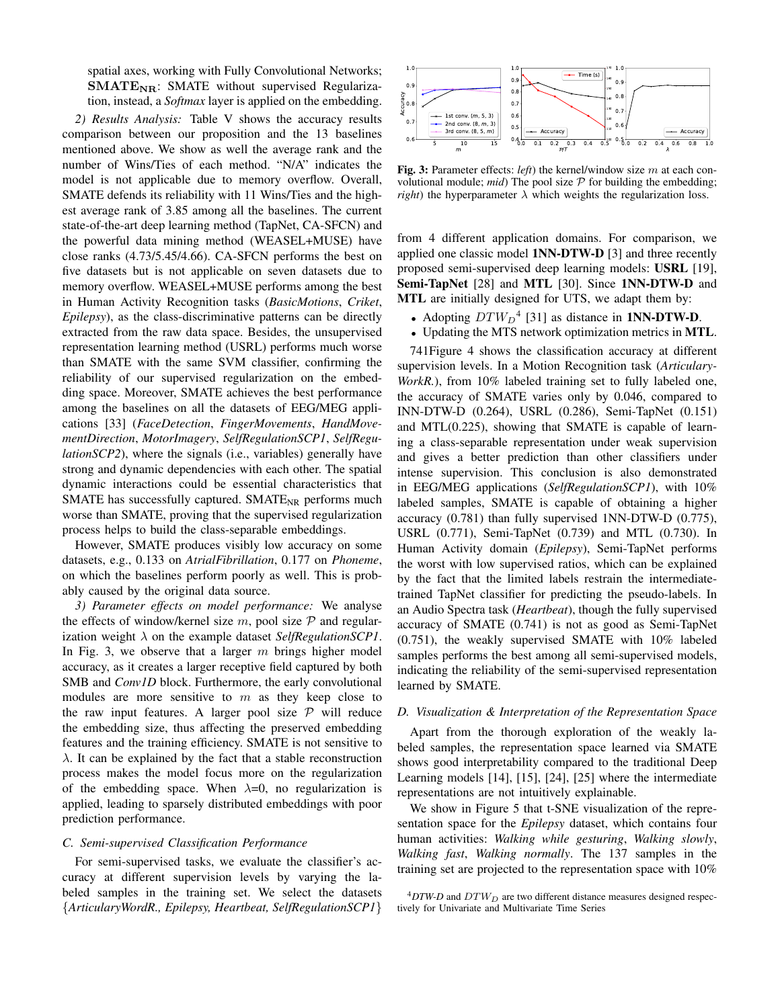spatial axes, working with Fully Convolutional Networks;  $SMATE_{NR}$ : SMATE without supervised Regularization, instead, a *Softmax* layer is applied on the embedding.

*2) Results Analysis:* Table V shows the accuracy results comparison between our proposition and the 13 baselines mentioned above. We show as well the average rank and the number of Wins/Ties of each method. "N/A" indicates the model is not applicable due to memory overflow. Overall, SMATE defends its reliability with 11 Wins/Ties and the highest average rank of 3.85 among all the baselines. The current state-of-the-art deep learning method (TapNet, CA-SFCN) and the powerful data mining method (WEASEL+MUSE) have close ranks (4.73/5.45/4.66). CA-SFCN performs the best on five datasets but is not applicable on seven datasets due to memory overflow. WEASEL+MUSE performs among the best in Human Activity Recognition tasks (*BasicMotions*, *Criket*, *Epilepsy*), as the class-discriminative patterns can be directly extracted from the raw data space. Besides, the unsupervised representation learning method (USRL) performs much worse than SMATE with the same SVM classifier, confirming the reliability of our supervised regularization on the embedding space. Moreover, SMATE achieves the best performance among the baselines on all the datasets of EEG/MEG applications [33] (*FaceDetection*, *FingerMovements*, *HandMovementDirection*, *MotorImagery*, *SelfRegulationSCP1*, *SelfRegulationSCP2*), where the signals (i.e., variables) generally have strong and dynamic dependencies with each other. The spatial dynamic interactions could be essential characteristics that SMATE has successfully captured. SMATE<sub>NR</sub> performs much worse than SMATE, proving that the supervised regularization process helps to build the class-separable embeddings.

However, SMATE produces visibly low accuracy on some datasets, e.g., 0.133 on *AtrialFibrillation*, 0.177 on *Phoneme*, on which the baselines perform poorly as well. This is probably caused by the original data source.

*3) Parameter effects on model performance:* We analyse the effects of window/kernel size  $m$ , pool size  $P$  and regularization weight λ on the example dataset *SelfRegulationSCP1*. In Fig. 3, we observe that a larger  $m$  brings higher model accuracy, as it creates a larger receptive field captured by both SMB and *Conv1D* block. Furthermore, the early convolutional modules are more sensitive to  $m$  as they keep close to the raw input features. A larger pool size  $P$  will reduce the embedding size, thus affecting the preserved embedding features and the training efficiency. SMATE is not sensitive to  $\lambda$ . It can be explained by the fact that a stable reconstruction process makes the model focus more on the regularization of the embedding space. When  $\lambda=0$ , no regularization is applied, leading to sparsely distributed embeddings with poor prediction performance.

#### *C. Semi-supervised Classification Performance*

For semi-supervised tasks, we evaluate the classifier's accuracy at different supervision levels by varying the labeled samples in the training set. We select the datasets {*ArticularyWordR., Epilepsy, Heartbeat, SelfRegulationSCP1*}



Fig. 3: Parameter effects: *left*) the kernel/window size m at each convolutional module;  $mid$  The pool size  $P$  for building the embedding; *right*) the hyperparameter  $\lambda$  which weights the regularization loss.

from 4 different application domains. For comparison, we applied one classic model 1NN-DTW-D [3] and three recently proposed semi-supervised deep learning models: USRL [19], Semi-TapNet [28] and MTL [30]. Since 1NN-DTW-D and MTL are initially designed for UTS, we adapt them by:

- Adopting  $DTW_D^4$  [31] as distance in **1NN-DTW-D**.
- Updating the MTS network optimization metrics in MTL.

741Figure 4 shows the classification accuracy at different supervision levels. In a Motion Recognition task (*Articulary-WorkR.*), from 10% labeled training set to fully labeled one, the accuracy of SMATE varies only by 0.046, compared to INN-DTW-D (0.264), USRL (0.286), Semi-TapNet (0.151) and MTL(0.225), showing that SMATE is capable of learning a class-separable representation under weak supervision and gives a better prediction than other classifiers under intense supervision. This conclusion is also demonstrated in EEG/MEG applications (*SelfRegulationSCP1*), with 10% labeled samples, SMATE is capable of obtaining a higher accuracy (0.781) than fully supervised 1NN-DTW-D (0.775), USRL (0.771), Semi-TapNet (0.739) and MTL (0.730). In Human Activity domain (*Epilepsy*), Semi-TapNet performs the worst with low supervised ratios, which can be explained by the fact that the limited labels restrain the intermediatetrained TapNet classifier for predicting the pseudo-labels. In an Audio Spectra task (*Heartbeat*), though the fully supervised accuracy of SMATE (0.741) is not as good as Semi-TapNet (0.751), the weakly supervised SMATE with 10% labeled samples performs the best among all semi-supervised models, indicating the reliability of the semi-supervised representation learned by SMATE.

#### *D. Visualization & Interpretation of the Representation Space*

Apart from the thorough exploration of the weakly labeled samples, the representation space learned via SMATE shows good interpretability compared to the traditional Deep Learning models [14], [15], [24], [25] where the intermediate representations are not intuitively explainable.

We show in Figure 5 that t-SNE visualization of the representation space for the *Epilepsy* dataset, which contains four human activities: *Walking while gesturing*, *Walking slowly*, *Walking fast*, *Walking normally*. The 137 samples in the training set are projected to the representation space with 10%

 $^{4}DTW\text{-}D$  and  $DTW_D$  are two different distance measures designed respectively for Univariate and Multivariate Time Series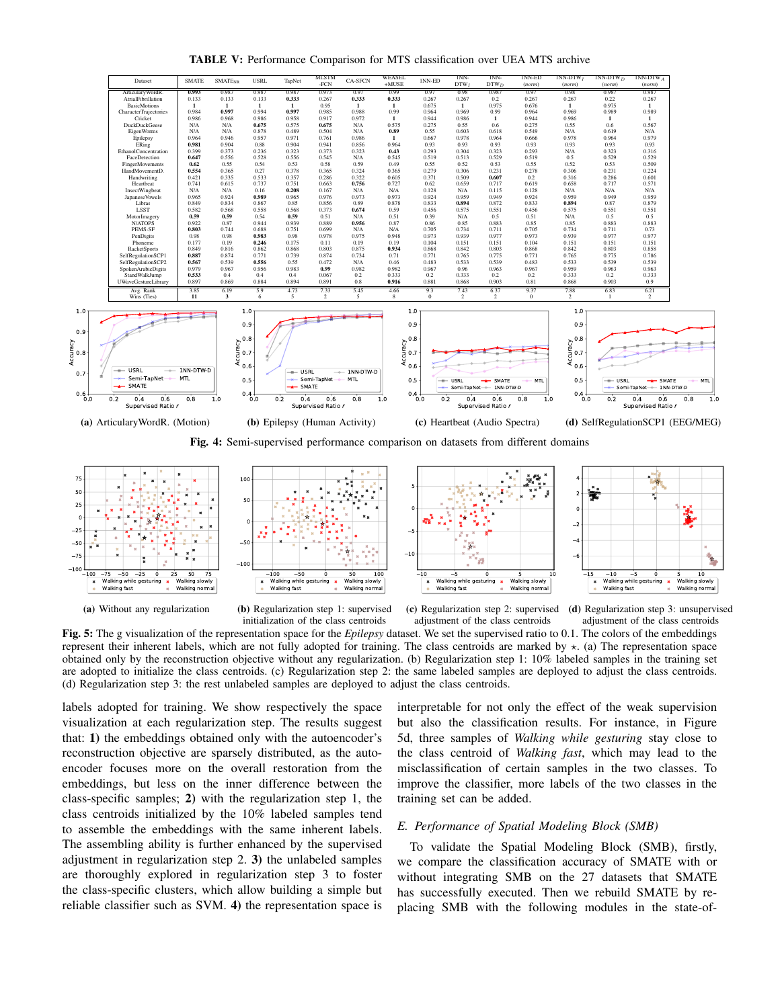TABLE V: Performance Comparison for MTS classification over UEA MTS archive





(b) Regularization step 1: supervised initialization of the class centroids

Walking while gesturing Walking fast

100  $-50$ 

100 - 50 0 50 100<br>Walking while gesturing \* Walking slowly<br>Walking fast \* Walking normal





(c) Regularization step 2: supervised adjustment of the class centroids

(d) Regularization step 3: unsupervised adjustment of the class centroids

Fig. 5: The g visualization of the representation space for the *Epilepsy* dataset. We set the supervised ratio to 0.1. The colors of the embeddings represent their inherent labels, which are not fully adopted for training. The class centroids are marked by  $\star$ . (a) The representation space obtained only by the reconstruction objective without any regularization. (b) Regularization step 1: 10% labeled samples in the training set are adopted to initialize the class centroids. (c) Regularization step 2: the same labeled samples are deployed to adjust the class centroids. (d) Regularization step 3: the rest unlabeled samples are deployed to adjust the class centroids.

labels adopted for training. We show respectively the space visualization at each regularization step. The results suggest that: 1) the embeddings obtained only with the autoencoder's reconstruction objective are sparsely distributed, as the autoencoder focuses more on the overall restoration from the embeddings, but less on the inner difference between the class-specific samples; 2) with the regularization step 1, the class centroids initialized by the 10% labeled samples tend to assemble the embeddings with the same inherent labels. The assembling ability is further enhanced by the supervised adjustment in regularization step 2. 3) the unlabeled samples are thoroughly explored in regularization step 3 to foster the class-specific clusters, which allow building a simple but reliable classifier such as SVM. 4) the representation space is interpretable for not only the effect of the weak supervision but also the classification results. For instance, in Figure 5d, three samples of *Walking while gesturing* stay close to the class centroid of *Walking fast*, which may lead to the misclassification of certain samples in the two classes. To improve the classifier, more labels of the two classes in the training set can be added.

## *E. Performance of Spatial Modeling Block (SMB)*

To validate the Spatial Modeling Block (SMB), firstly, we compare the classification accuracy of SMATE with or without integrating SMB on the 27 datasets that SMATE has successfully executed. Then we rebuild SMATE by replacing SMB with the following modules in the state-of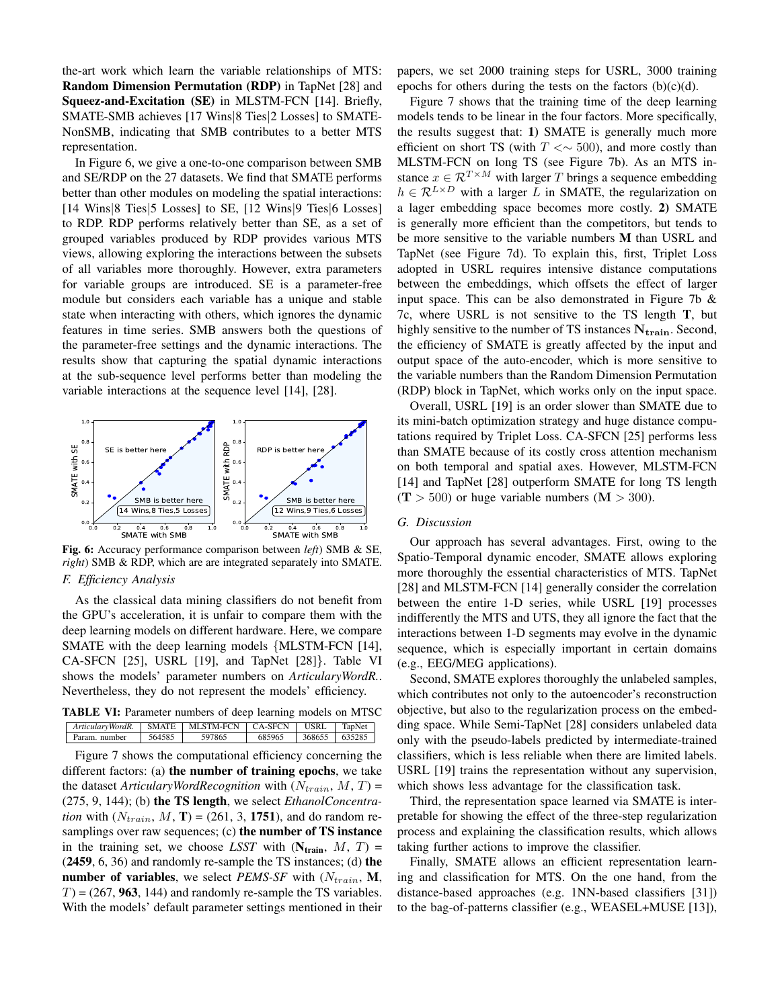the-art work which learn the variable relationships of MTS: Random Dimension Permutation (RDP) in TapNet [28] and Squeez-and-Excitation (SE) in MLSTM-FCN [14]. Briefly, SMATE-SMB achieves [17 Wins|8 Ties|2 Losses] to SMATE-NonSMB, indicating that SMB contributes to a better MTS representation.

In Figure 6, we give a one-to-one comparison between SMB and SE/RDP on the 27 datasets. We find that SMATE performs better than other modules on modeling the spatial interactions: [14 Wins|8 Ties|5 Losses] to SE, [12 Wins|9 Ties|6 Losses] to RDP. RDP performs relatively better than SE, as a set of grouped variables produced by RDP provides various MTS views, allowing exploring the interactions between the subsets of all variables more thoroughly. However, extra parameters for variable groups are introduced. SE is a parameter-free module but considers each variable has a unique and stable state when interacting with others, which ignores the dynamic features in time series. SMB answers both the questions of the parameter-free settings and the dynamic interactions. The results show that capturing the spatial dynamic interactions at the sub-sequence level performs better than modeling the variable interactions at the sequence level [14], [28].



Fig. 6: Accuracy performance comparison between *left*) SMB & SE, *right*) SMB & RDP, which are are integrated separately into SMATE. *F. Efficiency Analysis*

As the classical data mining classifiers do not benefit from the GPU's acceleration, it is unfair to compare them with the deep learning models on different hardware. Here, we compare SMATE with the deep learning models {MLSTM-FCN [14], CA-SFCN [25], USRL [19], and TapNet [28]}. Table VI shows the models' parameter numbers on *ArticularyWordR.*. Nevertheless, they do not represent the models' efficiency.

| <b>TABLE VI:</b> Parameter numbers of deep learning models on MTSC |                                                      |        |        |                      |  |  |  |
|--------------------------------------------------------------------|------------------------------------------------------|--------|--------|----------------------|--|--|--|
|                                                                    | ArticularyWordR. SMATE MLSTM-FCN CA-SFCN USRL TapNet |        |        |                      |  |  |  |
|                                                                    | Param, number                                        | 564585 | 597865 | 685965 368655 635285 |  |  |  |

Figure 7 shows the computational efficiency concerning the different factors: (a) the number of training epochs, we take the dataset *ArticularyWordRecognition* with  $(N_{train}, M, T)$  = (275, 9, 144); (b) the TS length, we select *EthanolConcentration* with  $(N_{train}, M, T) = (261, 3, 1751)$ , and do random resamplings over raw sequences; (c) the number of TS instance in the training set, we choose *LSST* with  $(N_{train}, M, T)$  = (2459, 6, 36) and randomly re-sample the TS instances; (d) the number of variables, we select *PEMS-SF* with  $(N_{train}, M,$  $T$  = (267, 963, 144) and randomly re-sample the TS variables. With the models' default parameter settings mentioned in their

papers, we set 2000 training steps for USRL, 3000 training epochs for others during the tests on the factors  $(b)(c)(d)$ .

Figure 7 shows that the training time of the deep learning models tends to be linear in the four factors. More specifically, the results suggest that: 1) SMATE is generally much more efficient on short TS (with  $T \ll \sim 500$ ), and more costly than MLSTM-FCN on long TS (see Figure 7b). As an MTS instance  $x \in \mathcal{R}^{T \times M}$  with larger T brings a sequence embedding  $h \in \mathcal{R}^{L \times D}$  with a larger L in SMATE, the regularization on a lager embedding space becomes more costly. 2) SMATE is generally more efficient than the competitors, but tends to be more sensitive to the variable numbers M than USRL and TapNet (see Figure 7d). To explain this, first, Triplet Loss adopted in USRL requires intensive distance computations between the embeddings, which offsets the effect of larger input space. This can be also demonstrated in Figure 7b  $\&$ 7c, where USRL is not sensitive to the TS length T, but highly sensitive to the number of TS instances  $N_{train}$ . Second, the efficiency of SMATE is greatly affected by the input and output space of the auto-encoder, which is more sensitive to the variable numbers than the Random Dimension Permutation (RDP) block in TapNet, which works only on the input space.

Overall, USRL [19] is an order slower than SMATE due to its mini-batch optimization strategy and huge distance computations required by Triplet Loss. CA-SFCN [25] performs less than SMATE because of its costly cross attention mechanism on both temporal and spatial axes. However, MLSTM-FCN [14] and TapNet [28] outperform SMATE for long TS length  $(T > 500)$  or huge variable numbers  $(M > 300)$ .

## *G. Discussion*

Our approach has several advantages. First, owing to the Spatio-Temporal dynamic encoder, SMATE allows exploring more thoroughly the essential characteristics of MTS. TapNet [28] and MLSTM-FCN [14] generally consider the correlation between the entire 1-D series, while USRL [19] processes indifferently the MTS and UTS, they all ignore the fact that the interactions between 1-D segments may evolve in the dynamic sequence, which is especially important in certain domains (e.g., EEG/MEG applications).

Second, SMATE explores thoroughly the unlabeled samples, which contributes not only to the autoencoder's reconstruction objective, but also to the regularization process on the embedding space. While Semi-TapNet [28] considers unlabeled data only with the pseudo-labels predicted by intermediate-trained classifiers, which is less reliable when there are limited labels. USRL [19] trains the representation without any supervision, which shows less advantage for the classification task.

Third, the representation space learned via SMATE is interpretable for showing the effect of the three-step regularization process and explaining the classification results, which allows taking further actions to improve the classifier.

Finally, SMATE allows an efficient representation learning and classification for MTS. On the one hand, from the distance-based approaches (e.g. 1NN-based classifiers [31]) to the bag-of-patterns classifier (e.g., WEASEL+MUSE [13]),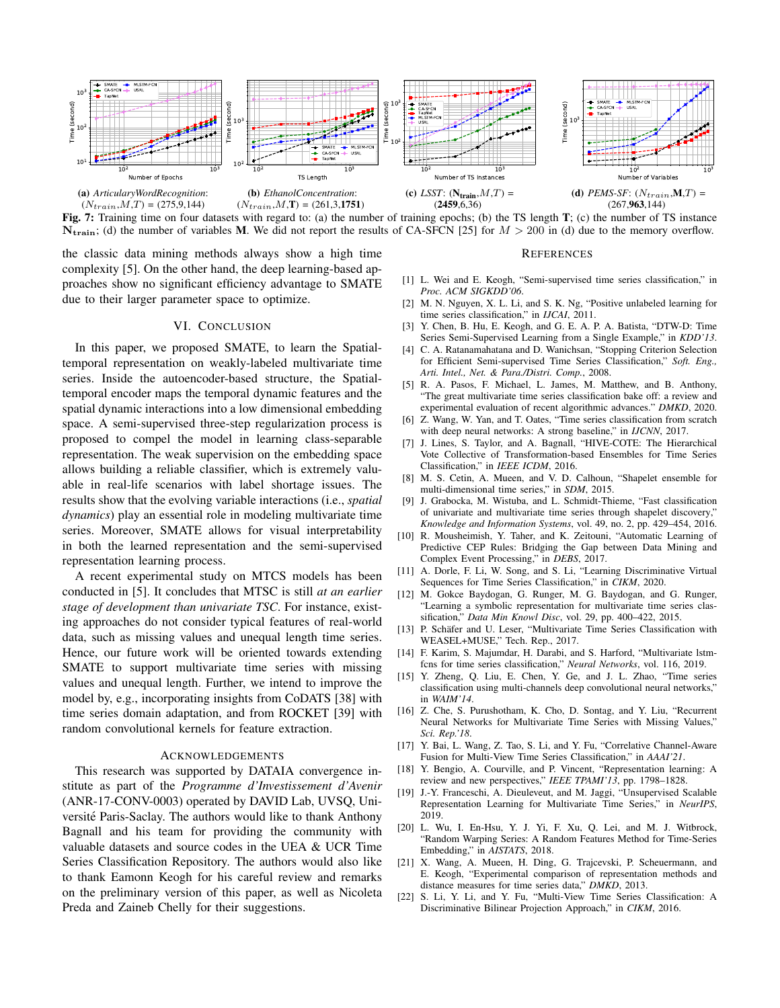

Fig. 7: Training time on four datasets with regard to: (a) the number of training epochs; (b) the TS length T; (c) the number of TS instance  $N_{\text{train}}$ ; (d) the number of variables M. We did not report the results of CA-SFCN [25] for  $M > 200$  in (d) due to the memory overflow.

the classic data mining methods always show a high time complexity [5]. On the other hand, the deep learning-based approaches show no significant efficiency advantage to SMATE due to their larger parameter space to optimize.

## VI. CONCLUSION

In this paper, we proposed SMATE, to learn the Spatialtemporal representation on weakly-labeled multivariate time series. Inside the autoencoder-based structure, the Spatialtemporal encoder maps the temporal dynamic features and the spatial dynamic interactions into a low dimensional embedding space. A semi-supervised three-step regularization process is proposed to compel the model in learning class-separable representation. The weak supervision on the embedding space allows building a reliable classifier, which is extremely valuable in real-life scenarios with label shortage issues. The results show that the evolving variable interactions (i.e., *spatial dynamics*) play an essential role in modeling multivariate time series. Moreover, SMATE allows for visual interpretability in both the learned representation and the semi-supervised representation learning process.

A recent experimental study on MTCS models has been conducted in [5]. It concludes that MTSC is still *at an earlier stage of development than univariate TSC*. For instance, existing approaches do not consider typical features of real-world data, such as missing values and unequal length time series. Hence, our future work will be oriented towards extending SMATE to support multivariate time series with missing values and unequal length. Further, we intend to improve the model by, e.g., incorporating insights from CoDATS [38] with time series domain adaptation, and from ROCKET [39] with random convolutional kernels for feature extraction.

## ACKNOWLEDGEMENTS

This research was supported by DATAIA convergence institute as part of the *Programme d'Investissement d'Avenir* (ANR-17-CONV-0003) operated by DAVID Lab, UVSQ, Université Paris-Saclay. The authors would like to thank Anthony Bagnall and his team for providing the community with valuable datasets and source codes in the UEA & UCR Time Series Classification Repository. The authors would also like to thank Eamonn Keogh for his careful review and remarks on the preliminary version of this paper, as well as Nicoleta Preda and Zaineb Chelly for their suggestions.

#### REFERENCES

- [1] L. Wei and E. Keogh, "Semi-supervised time series classification," in *Proc. ACM SIGKDD'06*.
- [2] M. N. Nguyen, X. L. Li, and S. K. Ng, "Positive unlabeled learning for time series classification," in *IJCAI*, 2011.
- [3] Y. Chen, B. Hu, E. Keogh, and G. E. A. P. A. Batista, "DTW-D: Time Series Semi-Supervised Learning from a Single Example," in *KDD'13*.
- [4] C. A. Ratanamahatana and D. Wanichsan, "Stopping Criterion Selection for Efficient Semi-supervised Time Series Classification," *Soft. Eng., Arti. Intel., Net. & Para./Distri. Comp.*, 2008.
- [5] R. A. Pasos, F. Michael, L. James, M. Matthew, and B. Anthony, "The great multivariate time series classification bake off: a review and experimental evaluation of recent algorithmic advances." *DMKD*, 2020.
- [6] Z. Wang, W. Yan, and T. Oates, "Time series classification from scratch with deep neural networks: A strong baseline," in *IJCNN*, 2017.
- [7] J. Lines, S. Taylor, and A. Bagnall, "HIVE-COTE: The Hierarchical Vote Collective of Transformation-based Ensembles for Time Series Classification," in *IEEE ICDM*, 2016.
- [8] M. S. Cetin, A. Mueen, and V. D. Calhoun, "Shapelet ensemble for multi-dimensional time series," in *SDM*, 2015.
- [9] J. Grabocka, M. Wistuba, and L. Schmidt-Thieme, "Fast classification of univariate and multivariate time series through shapelet discovery," *Knowledge and Information Systems*, vol. 49, no. 2, pp. 429–454, 2016.
- [10] R. Mousheimish, Y. Taher, and K. Zeitouni, "Automatic Learning of Predictive CEP Rules: Bridging the Gap between Data Mining and Complex Event Processing," in *DEBS*, 2017.
- [11] A. Dorle, F. Li, W. Song, and S. Li, "Learning Discriminative Virtual Sequences for Time Series Classification," in *CIKM*, 2020.
- [12] M. Gokce Baydogan, G. Runger, M. G. Baydogan, and G. Runger, "Learning a symbolic representation for multivariate time series classification," *Data Min Knowl Disc*, vol. 29, pp. 400–422, 2015.
- [13] P. Schäfer and U. Leser, "Multivariate Time Series Classification with WEASEL+MUSE," Tech. Rep., 2017.
- [14] F. Karim, S. Majumdar, H. Darabi, and S. Harford, "Multivariate lstmfcns for time series classification," *Neural Networks*, vol. 116, 2019.
- [15] Y. Zheng, Q. Liu, E. Chen, Y. Ge, and J. L. Zhao, "Time series classification using multi-channels deep convolutional neural networks," in *WAIM'14*.
- [16] Z. Che, S. Purushotham, K. Cho, D. Sontag, and Y. Liu, "Recurrent Neural Networks for Multivariate Time Series with Missing Values," *Sci. Rep.'18*.
- [17] Y. Bai, L. Wang, Z. Tao, S. Li, and Y. Fu, "Correlative Channel-Aware Fusion for Multi-View Time Series Classification," in *AAAI'21*.
- [18] Y. Bengio, A. Courville, and P. Vincent, "Representation learning: A review and new perspectives," *IEEE TPAMI'13*, pp. 1798–1828.
- [19] J.-Y. Franceschi, A. Dieuleveut, and M. Jaggi, "Unsupervised Scalable Representation Learning for Multivariate Time Series," in *NeurIPS*, 2019.
- [20] L. Wu, I. En-Hsu, Y. J. Yi, F. Xu, Q. Lei, and M. J. Witbrock, "Random Warping Series: A Random Features Method for Time-Series Embedding," in *AISTATS*, 2018.
- [21] X. Wang, A. Mueen, H. Ding, G. Trajcevski, P. Scheuermann, and E. Keogh, "Experimental comparison of representation methods and distance measures for time series data," *DMKD*, 2013.
- [22] S. Li, Y. Li, and Y. Fu, "Multi-View Time Series Classification: A Discriminative Bilinear Projection Approach," in *CIKM*, 2016.